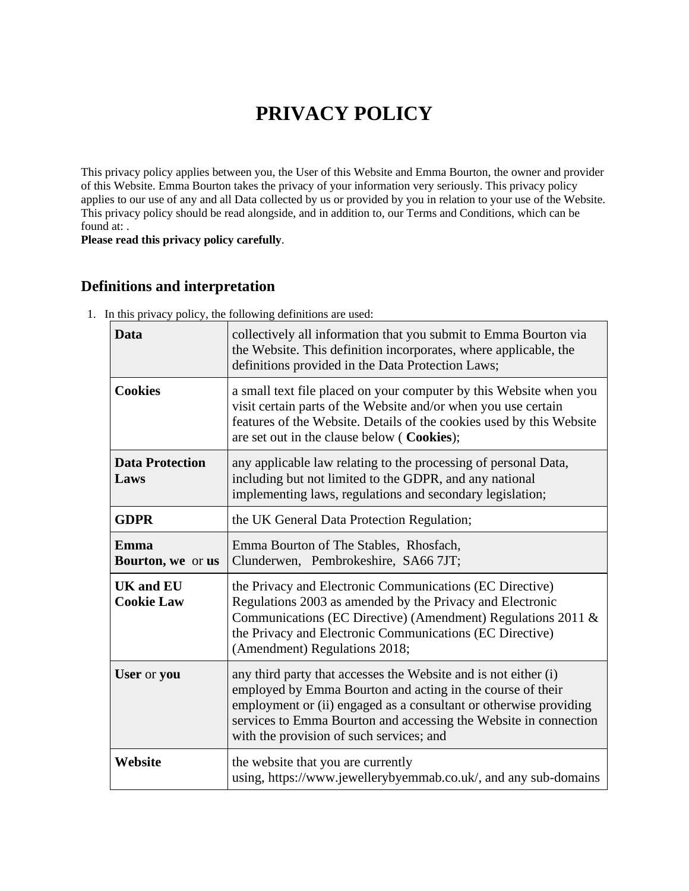# **PRIVACY POLICY**

This privacy policy applies between you, the User of this Website and Emma Bourton, the owner and provider of this Website. Emma Bourton takes the privacy of your information very seriously. This privacy policy applies to our use of any and all Data collected by us or provided by you in relation to your use of the Website. This privacy policy should be read alongside, and in addition to, our Terms and Conditions, which can be found at: .

**Please read this privacy policy carefully**.

### **Definitions and interpretation**

| Data                                         | collectively all information that you submit to Emma Bourton via<br>the Website. This definition incorporates, where applicable, the<br>definitions provided in the Data Protection Laws;                                                                                                                          |  |
|----------------------------------------------|--------------------------------------------------------------------------------------------------------------------------------------------------------------------------------------------------------------------------------------------------------------------------------------------------------------------|--|
| <b>Cookies</b>                               | a small text file placed on your computer by this Website when you<br>visit certain parts of the Website and/or when you use certain<br>features of the Website. Details of the cookies used by this Website<br>are set out in the clause below (Cookies);                                                         |  |
| <b>Data Protection</b><br>Laws               | any applicable law relating to the processing of personal Data,<br>including but not limited to the GDPR, and any national<br>implementing laws, regulations and secondary legislation;                                                                                                                            |  |
| <b>GDPR</b>                                  | the UK General Data Protection Regulation;                                                                                                                                                                                                                                                                         |  |
| <b>Emma</b><br><b>Bourton, we or us</b>      | Emma Bourton of The Stables, Rhosfach,<br>Clunderwen, Pembrokeshire, SA66 7JT;                                                                                                                                                                                                                                     |  |
| <b>UK</b> and <b>EU</b><br><b>Cookie Law</b> | the Privacy and Electronic Communications (EC Directive)<br>Regulations 2003 as amended by the Privacy and Electronic<br>Communications (EC Directive) (Amendment) Regulations 2011 &<br>the Privacy and Electronic Communications (EC Directive)<br>(Amendment) Regulations 2018;                                 |  |
| User or you                                  | any third party that accesses the Website and is not either (i)<br>employed by Emma Bourton and acting in the course of their<br>employment or (ii) engaged as a consultant or otherwise providing<br>services to Emma Bourton and accessing the Website in connection<br>with the provision of such services; and |  |
| Website                                      | the website that you are currently<br>using, https://www.jewellerybyemmab.co.uk/, and any sub-domains                                                                                                                                                                                                              |  |

1. In this privacy policy, the following definitions are used: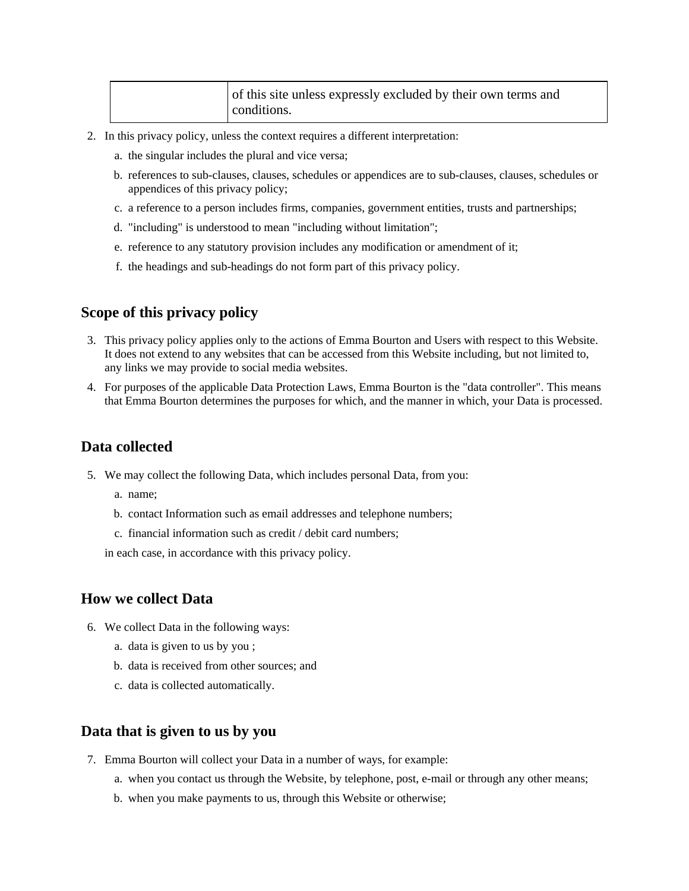| of this site unless expressly excluded by their own terms and<br>conditions. |  |
|------------------------------------------------------------------------------|--|
|------------------------------------------------------------------------------|--|

- 2. In this privacy policy, unless the context requires a different interpretation:
	- a. the singular includes the plural and vice versa;
	- b. references to sub-clauses, clauses, schedules or appendices are to sub-clauses, clauses, schedules or appendices of this privacy policy;
	- c. a reference to a person includes firms, companies, government entities, trusts and partnerships;
	- d. "including" is understood to mean "including without limitation";
	- e. reference to any statutory provision includes any modification or amendment of it;
	- f. the headings and sub-headings do not form part of this privacy policy.

#### **Scope of this privacy policy**

- 3. This privacy policy applies only to the actions of Emma Bourton and Users with respect to this Website. It does not extend to any websites that can be accessed from this Website including, but not limited to, any links we may provide to social media websites.
- 4. For purposes of the applicable Data Protection Laws, Emma Bourton is the "data controller". This means that Emma Bourton determines the purposes for which, and the manner in which, your Data is processed.

#### **Data collected**

- 5. We may collect the following Data, which includes personal Data, from you:
	- a. name;
	- b. contact Information such as email addresses and telephone numbers;
	- c. financial information such as credit / debit card numbers;

in each case, in accordance with this privacy policy.

### **How we collect Data**

- 6. We collect Data in the following ways:
	- a. data is given to us by you ;
	- b. data is received from other sources; and
	- c. data is collected automatically.

#### **Data that is given to us by you**

- 7. Emma Bourton will collect your Data in a number of ways, for example:
	- a. when you contact us through the Website, by telephone, post, e-mail or through any other means;
	- b. when you make payments to us, through this Website or otherwise;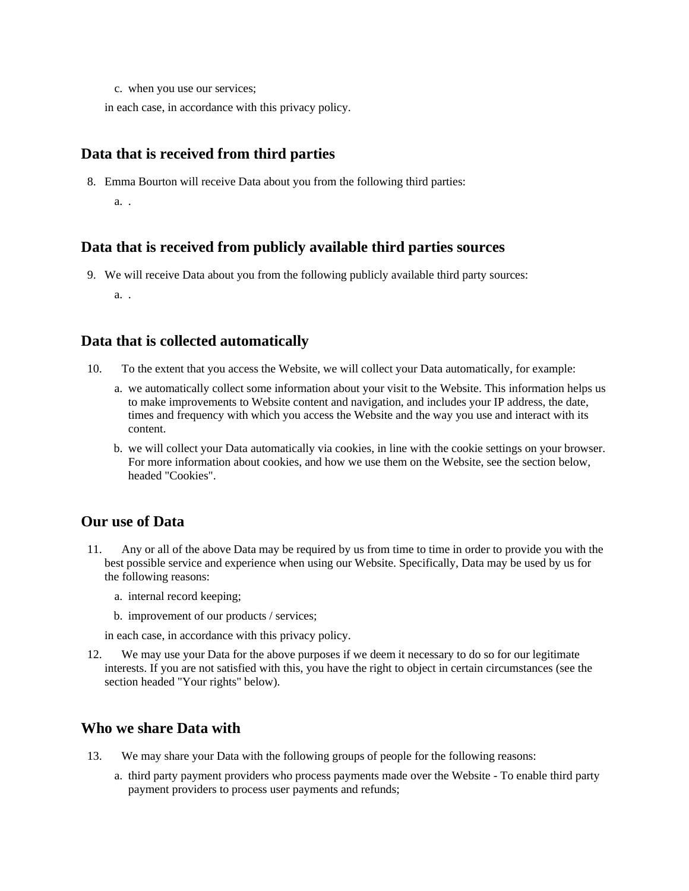c. when you use our services;

in each case, in accordance with this privacy policy.

# **Data that is received from third parties**

8. Emma Bourton will receive Data about you from the following third parties:

a. .

### **Data that is received from publicly available third parties sources**

9. We will receive Data about you from the following publicly available third party sources:

a. .

### **Data that is collected automatically**

- 10. To the extent that you access the Website, we will collect your Data automatically, for example:
	- a. we automatically collect some information about your visit to the Website. This information helps us to make improvements to Website content and navigation, and includes your IP address, the date, times and frequency with which you access the Website and the way you use and interact with its content.
	- b. we will collect your Data automatically via cookies, in line with the cookie settings on your browser. For more information about cookies, and how we use them on the Website, see the section below, headed "Cookies".

### **Our use of Data**

- 11. Any or all of the above Data may be required by us from time to time in order to provide you with the best possible service and experience when using our Website. Specifically, Data may be used by us for the following reasons:
	- a. internal record keeping;
	- b. improvement of our products / services;

in each case, in accordance with this privacy policy.

12. We may use your Data for the above purposes if we deem it necessary to do so for our legitimate interests. If you are not satisfied with this, you have the right to object in certain circumstances (see the section headed "Your rights" below).

### **Who we share Data with**

- 13. We may share your Data with the following groups of people for the following reasons:
	- a. third party payment providers who process payments made over the Website To enable third party payment providers to process user payments and refunds;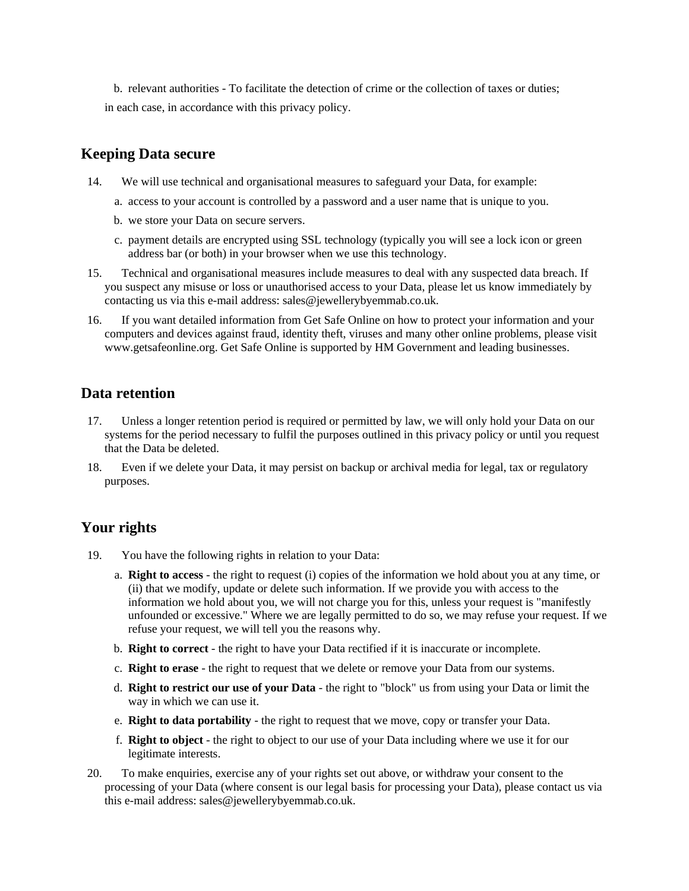b. relevant authorities - To facilitate the detection of crime or the collection of taxes or duties; in each case, in accordance with this privacy policy.

# **Keeping Data secure**

- 14. We will use technical and organisational measures to safeguard your Data, for example:
	- a. access to your account is controlled by a password and a user name that is unique to you.
	- b. we store your Data on secure servers.
	- c. payment details are encrypted using SSL technology (typically you will see a lock icon or green address bar (or both) in your browser when we use this technology.
- 15. Technical and organisational measures include measures to deal with any suspected data breach. If you suspect any misuse or loss or unauthorised access to your Data, please let us know immediately by contacting us via this e-mail address: sales@jewellerybyemmab.co.uk.
- 16. If you want detailed information from Get Safe Online on how to protect your information and your computers and devices against fraud, identity theft, viruses and many other online problems, please visit www.getsafeonline.org. Get Safe Online is supported by HM Government and leading businesses.

## **Data retention**

- 17. Unless a longer retention period is required or permitted by law, we will only hold your Data on our systems for the period necessary to fulfil the purposes outlined in this privacy policy or until you request that the Data be deleted.
- 18. Even if we delete your Data, it may persist on backup or archival media for legal, tax or regulatory purposes.

# **Your rights**

- 19. You have the following rights in relation to your Data:
	- a. **Right to access** the right to request (i) copies of the information we hold about you at any time, or (ii) that we modify, update or delete such information. If we provide you with access to the information we hold about you, we will not charge you for this, unless your request is "manifestly unfounded or excessive." Where we are legally permitted to do so, we may refuse your request. If we refuse your request, we will tell you the reasons why.
	- b. **Right to correct** the right to have your Data rectified if it is inaccurate or incomplete.
	- c. **Right to erase** the right to request that we delete or remove your Data from our systems.
	- d. **Right to restrict our use of your Data** the right to "block" us from using your Data or limit the way in which we can use it.
	- e. **Right to data portability** the right to request that we move, copy or transfer your Data.
	- f. **Right to object** the right to object to our use of your Data including where we use it for our legitimate interests.
- 20. To make enquiries, exercise any of your rights set out above, or withdraw your consent to the processing of your Data (where consent is our legal basis for processing your Data), please contact us via this e-mail address: sales@jewellerybyemmab.co.uk.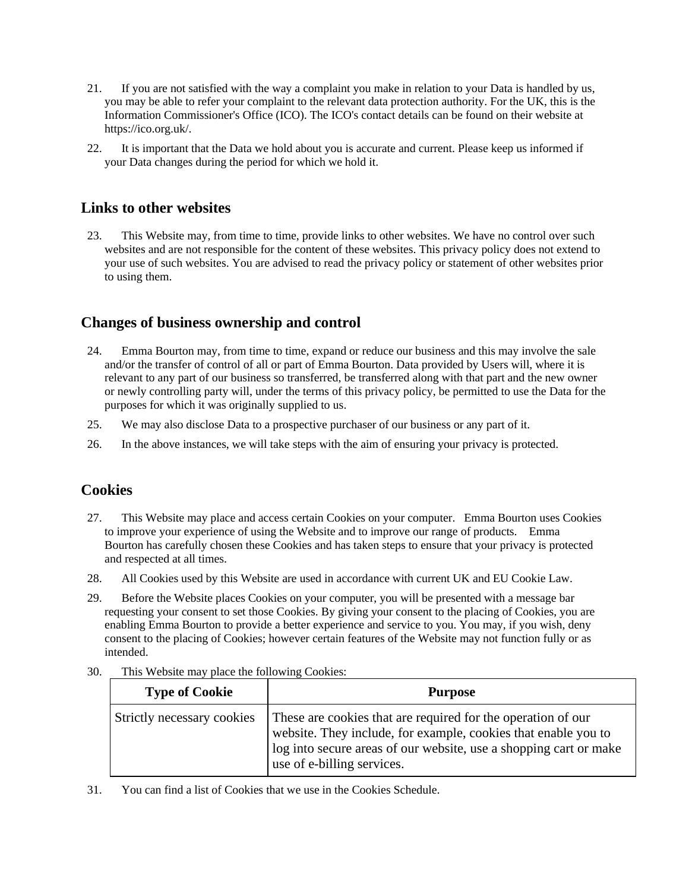- 21. If you are not satisfied with the way a complaint you make in relation to your Data is handled by us, you may be able to refer your complaint to the relevant data protection authority. For the UK, this is the Information Commissioner's Office (ICO). The ICO's contact details can be found on their website at https://ico.org.uk/.
- 22. It is important that the Data we hold about you is accurate and current. Please keep us informed if your Data changes during the period for which we hold it.

### **Links to other websites**

23. This Website may, from time to time, provide links to other websites. We have no control over such websites and are not responsible for the content of these websites. This privacy policy does not extend to your use of such websites. You are advised to read the privacy policy or statement of other websites prior to using them.

### **Changes of business ownership and control**

- 24. Emma Bourton may, from time to time, expand or reduce our business and this may involve the sale and/or the transfer of control of all or part of Emma Bourton. Data provided by Users will, where it is relevant to any part of our business so transferred, be transferred along with that part and the new owner or newly controlling party will, under the terms of this privacy policy, be permitted to use the Data for the purposes for which it was originally supplied to us.
- 25. We may also disclose Data to a prospective purchaser of our business or any part of it.
- 26. In the above instances, we will take steps with the aim of ensuring your privacy is protected.

### **Cookies**

- 27. This Website may place and access certain Cookies on your computer. Emma Bourton uses Cookies to improve your experience of using the Website and to improve our range of products. Emma Bourton has carefully chosen these Cookies and has taken steps to ensure that your privacy is protected and respected at all times.
- 28. All Cookies used by this Website are used in accordance with current UK and EU Cookie Law.
- 29. Before the Website places Cookies on your computer, you will be presented with a message bar requesting your consent to set those Cookies. By giving your consent to the placing of Cookies, you are enabling Emma Bourton to provide a better experience and service to you. You may, if you wish, deny consent to the placing of Cookies; however certain features of the Website may not function fully or as intended.

| <b>Type of Cookie</b>      | <b>Purpose</b>                                                                                                                                                                                                                    |
|----------------------------|-----------------------------------------------------------------------------------------------------------------------------------------------------------------------------------------------------------------------------------|
| Strictly necessary cookies | These are cookies that are required for the operation of our<br>website. They include, for example, cookies that enable you to<br>log into secure areas of our website, use a shopping cart or make<br>use of e-billing services. |

30. This Website may place the following Cookies:

31. You can find a list of Cookies that we use in the Cookies Schedule.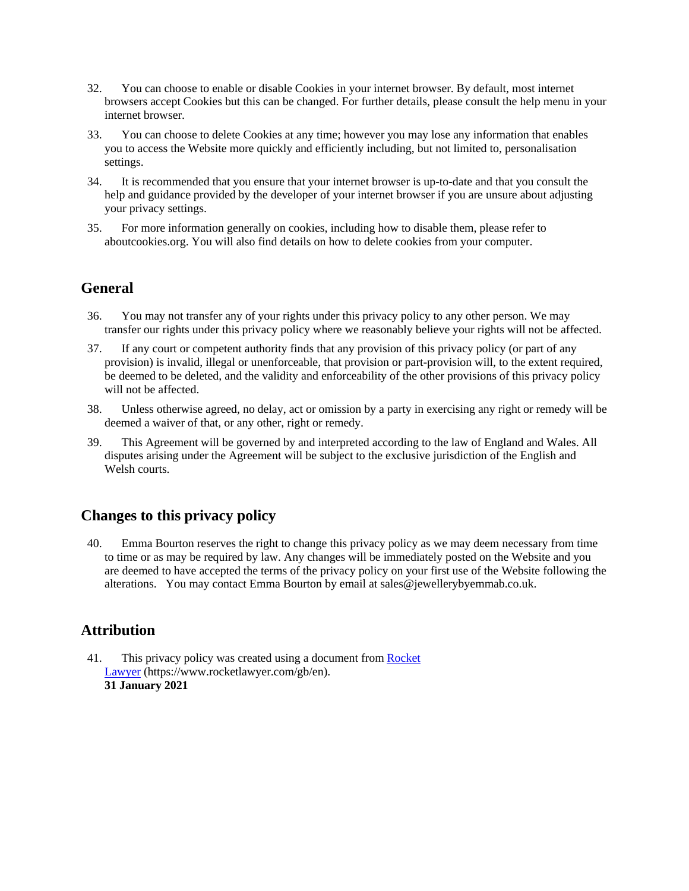- 32. You can choose to enable or disable Cookies in your internet browser. By default, most internet browsers accept Cookies but this can be changed. For further details, please consult the help menu in your internet browser.
- 33. You can choose to delete Cookies at any time; however you may lose any information that enables you to access the Website more quickly and efficiently including, but not limited to, personalisation settings.
- 34. It is recommended that you ensure that your internet browser is up-to-date and that you consult the help and guidance provided by the developer of your internet browser if you are unsure about adjusting your privacy settings.
- 35. For more information generally on cookies, including how to disable them, please refer to aboutcookies.org. You will also find details on how to delete cookies from your computer.

### **General**

- 36. You may not transfer any of your rights under this privacy policy to any other person. We may transfer our rights under this privacy policy where we reasonably believe your rights will not be affected.
- 37. If any court or competent authority finds that any provision of this privacy policy (or part of any provision) is invalid, illegal or unenforceable, that provision or part-provision will, to the extent required, be deemed to be deleted, and the validity and enforceability of the other provisions of this privacy policy will not be affected.
- 38. Unless otherwise agreed, no delay, act or omission by a party in exercising any right or remedy will be deemed a waiver of that, or any other, right or remedy.
- 39. This Agreement will be governed by and interpreted according to the law of England and Wales. All disputes arising under the Agreement will be subject to the exclusive jurisdiction of the English and Welsh courts.

### **Changes to this privacy policy**

40. Emma Bourton reserves the right to change this privacy policy as we may deem necessary from time to time or as may be required by law. Any changes will be immediately posted on the Website and you are deemed to have accepted the terms of the privacy policy on your first use of the Website following the alterations. You may contact Emma Bourton by email at sales@jewellerybyemmab.co.uk.

# **Attribution**

41. This privacy policy was created using a document from Rocket [Lawyer](https://www.rocketlawyer.com/gb/en/) (https://www.rocketlawyer.com/gb/en). **31 January 2021**